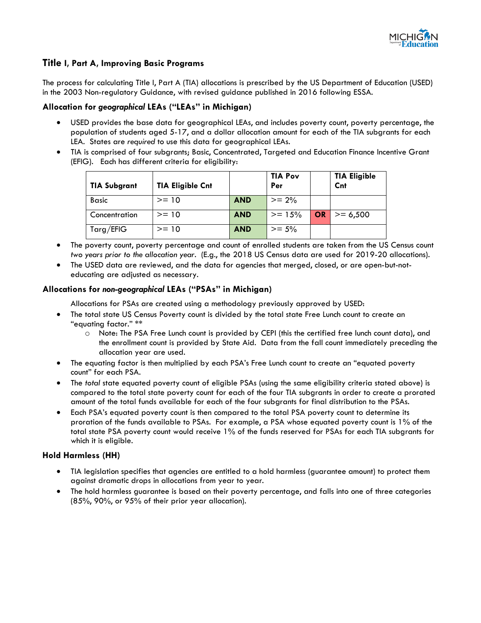

# **Title I, Part A, Improving Basic Programs**

 The process for calculating Title I, Part A (TIA) allocations is prescribed by the US Department of Education (USED) in the 2003 Non-regulatory Guidance, with revised guidance published in 2016 following ESSA.

#### **Allocation for** *geographical* **LEAs ("LEAs" in Michigan)**

- USED provides the base data for geographical LEAs, and includes poverty count, poverty percentage, the population of students aged 5-17, and a dollar allocation amount for each of the TIA subgrants for each LEA. States are *required* to use this data for geographical LEAs.
- (EFIG). Each has different criteria for eligibility: • TIA is comprised of four subgrants; Basic, Concentrated, Targeted and Education Finance Incentive Grant

| <b>TIA Subgrant</b> | <b>TIA Eligible Cnt</b> |            | <b>TIA Pov</b><br>Per |           | <b>TIA Eligible</b><br>Cnt |
|---------------------|-------------------------|------------|-----------------------|-----------|----------------------------|
| <b>Basic</b>        | $>= 10$                 | <b>AND</b> | $>= 2\%$              |           |                            |
| Concentration       | $>= 10$                 | <b>AND</b> | $>= 15%$              | <b>OR</b> | $>= 6,500$                 |
| Targ/EFIG           | $>= 10$                 | <b>AND</b> | $>= 5\%$              |           |                            |

- *two years prior to the allocation year.* (E.g., the 2018 US Census data are used for 2019-20 allocations). • The poverty count, poverty percentage and count of enrolled students are taken from the US Census count
- The USED data are reviewed, and the data for agencies that merged, closed, or are open-but-noteducating are adjusted as necessary.

## **Allocations for** *non-geographical* **LEAs ("PSAs" in Michigan)**

Allocations for PSAs are created using a methodology previously approved by USED:

- "equating factor." \*\* The total state US Census Poverty count is divided by the total state Free Lunch count to create an
	- allocation year are used. o Note: The PSA Free Lunch count is provided by CEPI (this the certified free lunch count data), and the enrollment count is provided by State Aid. Data from the fall count immediately preceding the
- • The equating factor is then multiplied by each PSA's Free Lunch count to create an "equated poverty count" for each PSA.
- The *total* state equated poverty count of eligible PSAs (using the same eligibility criteria stated above) is compared to the total state poverty count for each of the four TIA subgrants in order to create a prorated amount of the total funds available for each of the four subgrants for final distribution to the PSAs.
- proration of the funds available to PSAs. For example, a PSA whose equated poverty count is 1% of the • Each PSA's equated poverty count is then compared to the total PSA poverty count to determine its total state PSA poverty count would receive 1% of the funds reserved for PSAs for each TIA subgrants for which it is eligible.

## **Hold Harmless (HH)**

- • TIA legislation specifies that agencies are entitled to a hold harmless (guarantee amount) to protect them against dramatic drops in allocations from year to year.
- The hold harmless guarantee is based on their poverty percentage, and falls into one of three categories (85%, 90%, or 95% of their prior year allocation).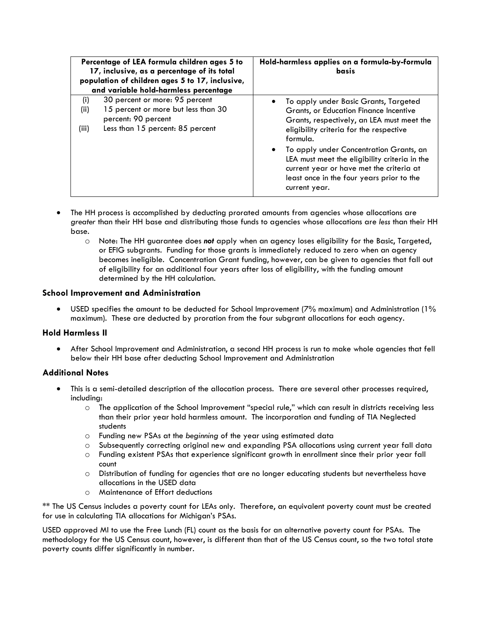| Percentage of LEA formula children ages 5 to<br>17, inclusive, as a percentage of its total<br>population of children ages 5 to 17, inclusive,<br>and variable hold-harmless percentage |                                                            | Hold-harmless applies on a formula-by-formula<br>basis                                                                                                                                             |  |  |
|-----------------------------------------------------------------------------------------------------------------------------------------------------------------------------------------|------------------------------------------------------------|----------------------------------------------------------------------------------------------------------------------------------------------------------------------------------------------------|--|--|
| (i)                                                                                                                                                                                     | 30 percent or more: 95 percent                             | To apply under Basic Grants, Targeted                                                                                                                                                              |  |  |
| (ii)                                                                                                                                                                                    | 15 percent or more but less than 30<br>percent: 90 percent | Grants, or Education Finance Incentive<br>Grants, respectively, an LEA must meet the                                                                                                               |  |  |
| (iii)                                                                                                                                                                                   | Less than 15 percent: 85 percent                           | eligibility criteria for the respective<br>formula.                                                                                                                                                |  |  |
|                                                                                                                                                                                         |                                                            | To apply under Concentration Grants, an<br>LEA must meet the eligibility criteria in the<br>current year or have met the criteria at<br>least once in the four years prior to the<br>current year. |  |  |

- • The HH process is accomplished by deducting prorated amounts from agencies whose allocations are *greater* than their HH base and distributing those funds to agencies whose allocations are *less* than their HH base.
	- o Note: The HH guarantee does *not* apply when an agency loses eligibility for the Basic, Targeted, or EFIG subgrants. Funding for those grants is immediately reduced to zero when an agency becomes ineligible. Concentration Grant funding, however, can be given to agencies that fall out of eligibility for an additional four years after loss of eligibility, with the funding amount determined by the HH calculation.

# **School Improvement and Administration**

 maximum). These are deducted by proration from the four subgrant allocations for each agency. • USED specifies the amount to be deducted for School Improvement (7% maximum) and Administration (1%

## **Hold Harmless II**

• After School Improvement and Administration, a second HH process is run to make whole agencies that fell below their HH base after deducting School Improvement and Administration

## **Additional Notes**

- • This is a semi-detailed description of the allocation process. There are several other processes required, including:
	- than their prior year hold harmless amount. The incorporation and funding of TIA Neglected o The application of the School Improvement "special rule," which can result in districts receiving less students
	- o Funding new PSAs at the *beginning* of the year using estimated data
	- o Subsequently correcting original new and expanding PSA allocations using current year fall data
	- o Funding existent PSAs that experience significant growth in enrollment since their prior year fall count
	- o Distribution of funding for agencies that are no longer educating students but nevertheless have allocations in the USED data
	- o Maintenance of Effort deductions

 \*\* The US Census includes a poverty count for LEAs only. Therefore, an equivalent poverty count must be created for use in calculating TIA allocations for Michigan's PSAs.

 USED approved MI to use the Free Lunch (FL) count as the basis for an alternative poverty count for PSAs. The poverty counts differ significantly in number. methodology for the US Census count, however, is different than that of the US Census count, so the two total state